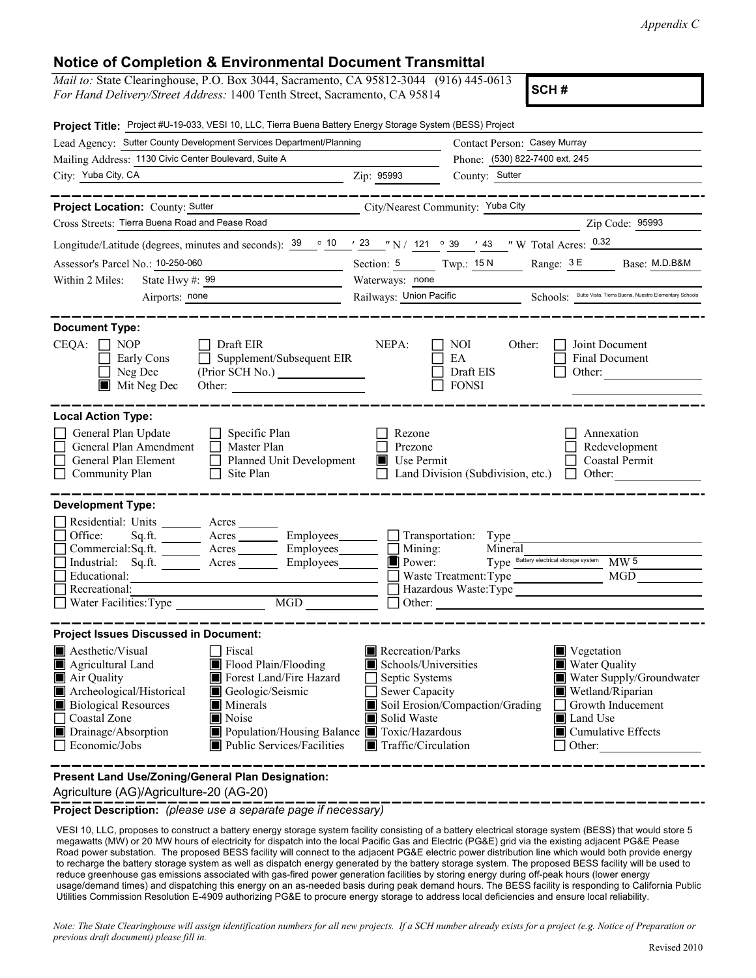| <b>Notice of Completion &amp; Environmental Document Transmittal</b><br>Mail to: State Clearinghouse, P.O. Box 3044, Sacramento, CA 95812-3044 (916) 445-0613                                                                                                                                                                                                                                                                                                                                                                                                                                                                                                                                                                                                                                                                                                                                                                                                                                                                                                                           |                                                                                                                                                       | Appendix C                                                                                                                                                                               |
|-----------------------------------------------------------------------------------------------------------------------------------------------------------------------------------------------------------------------------------------------------------------------------------------------------------------------------------------------------------------------------------------------------------------------------------------------------------------------------------------------------------------------------------------------------------------------------------------------------------------------------------------------------------------------------------------------------------------------------------------------------------------------------------------------------------------------------------------------------------------------------------------------------------------------------------------------------------------------------------------------------------------------------------------------------------------------------------------|-------------------------------------------------------------------------------------------------------------------------------------------------------|------------------------------------------------------------------------------------------------------------------------------------------------------------------------------------------|
| For Hand Delivery/Street Address: 1400 Tenth Street, Sacramento, CA 95814                                                                                                                                                                                                                                                                                                                                                                                                                                                                                                                                                                                                                                                                                                                                                                                                                                                                                                                                                                                                               |                                                                                                                                                       | SCH#                                                                                                                                                                                     |
| Project Title: Project #U-19-033, VESI 10, LLC, Tierra Buena Battery Energy Storage System (BESS) Project                                                                                                                                                                                                                                                                                                                                                                                                                                                                                                                                                                                                                                                                                                                                                                                                                                                                                                                                                                               |                                                                                                                                                       |                                                                                                                                                                                          |
| Lead Agency: Sutter County Development Services Department/Planning                                                                                                                                                                                                                                                                                                                                                                                                                                                                                                                                                                                                                                                                                                                                                                                                                                                                                                                                                                                                                     | Contact Person: Casey Murray                                                                                                                          |                                                                                                                                                                                          |
| Mailing Address: 1130 Civic Center Boulevard, Suite A<br>City: Yuba City, CA                                                                                                                                                                                                                                                                                                                                                                                                                                                                                                                                                                                                                                                                                                                                                                                                                                                                                                                                                                                                            | Phone: (530) 822-7400 ext. 245<br>Zip: 95993<br>County: Sutter                                                                                        |                                                                                                                                                                                          |
| ___________                                                                                                                                                                                                                                                                                                                                                                                                                                                                                                                                                                                                                                                                                                                                                                                                                                                                                                                                                                                                                                                                             |                                                                                                                                                       |                                                                                                                                                                                          |
| <b>Project Location: County: Sutter</b>                                                                                                                                                                                                                                                                                                                                                                                                                                                                                                                                                                                                                                                                                                                                                                                                                                                                                                                                                                                                                                                 | City/Nearest Community: Yuba City                                                                                                                     |                                                                                                                                                                                          |
| Cross Streets: Tierra Buena Road and Pease Road<br>Longitude/Latitude (degrees, minutes and seconds): $\frac{39}{10}$ $\frac{10}{23}$ $\frac{123}{10}$ N / 121 $\degree$ 39 $\degree$ 43 $\degree$ W Total Acres: 0.32                                                                                                                                                                                                                                                                                                                                                                                                                                                                                                                                                                                                                                                                                                                                                                                                                                                                  |                                                                                                                                                       | Zip Code: 95993                                                                                                                                                                          |
| Assessor's Parcel No.: 10-250-060<br>Within 2 Miles: State Hwy #: 99<br>Airports: none                                                                                                                                                                                                                                                                                                                                                                                                                                                                                                                                                                                                                                                                                                                                                                                                                                                                                                                                                                                                  | Section: 5 Twp.: $15 N$ Range: $3 E$<br>Waterways: none<br>Railways: Union Pacific                                                                    | Base: M.D.B&M<br>Schools: Butte Vista, Tierra Buena, Nuestro Elementary School                                                                                                           |
| <b>Document Type:</b><br>$\Box$ Draft EIR<br>$CEQA: \Box NP$<br>$\Box$ Supplement/Subsequent EIR<br>Early Cons<br>(Prior SCH No.)<br>Neg Dec<br>Mit Neg Dec<br>Other:                                                                                                                                                                                                                                                                                                                                                                                                                                                                                                                                                                                                                                                                                                                                                                                                                                                                                                                   | NEPA:<br><b>NOI</b><br>Other:<br>EA<br>Draft EIS<br><b>FONSI</b>                                                                                      | Joint Document<br>$\mathbf{I}$<br>$\Box$<br>Final Document<br>Other:                                                                                                                     |
| <b>Local Action Type:</b><br>General Plan Update<br>$\Box$ Specific Plan<br>$\Box$<br>Master Plan<br>General Plan Amendment<br>$\Box$<br>General Plan Element<br>Planned Unit Development<br>$\Box$ Site Plan<br>Community Plan                                                                                                                                                                                                                                                                                                                                                                                                                                                                                                                                                                                                                                                                                                                                                                                                                                                         | Rezone<br>Prezone<br>$\blacksquare$<br>Use Permit<br>Land Division (Subdivision, etc.)                                                                | Annexation<br>Redevelopment<br>Coastal Permit<br>Other:<br>$\Box$                                                                                                                        |
| <b>Development Type:</b><br>Residential: Units ________ Acres<br>Sq.ft.<br>Employees_<br>$\Box$ Office:<br>$\overline{\phantom{a}}$ Acres<br>Commercial: Sq.ft.<br>Employees_<br>Acres_<br>Industrial: Sq.ft.<br>Employees<br>Acres<br>Educational:                                                                                                                                                                                                                                                                                                                                                                                                                                                                                                                                                                                                                                                                                                                                                                                                                                     | Transportation: Type<br>$\Box$ Mining:<br>Mineral<br>Power:<br>Waste Treatment: Type                                                                  | Type Battery electrical storage system<br>MW <sub>5</sub><br>MGD                                                                                                                         |
| $\Box$ Recreational:<br>Water Facilities: Type<br><b>MGD</b>                                                                                                                                                                                                                                                                                                                                                                                                                                                                                                                                                                                                                                                                                                                                                                                                                                                                                                                                                                                                                            |                                                                                                                                                       | Hazardous Waste:Type<br>Other: $\qquad \qquad$                                                                                                                                           |
| <b>Project Issues Discussed in Document:</b><br>Aesthetic/Visual<br>$\Box$ Fiscal<br>Agricultural Land<br>Flood Plain/Flooding<br>Air Quality<br>Forest Land/Fire Hazard<br>Archeological/Historical<br>Geologic/Seismic<br>$\blacksquare$ Minerals<br><b>Biological Resources</b><br>Noise<br>Coastal Zone<br>Population/Housing Balance Toxic/Hazardous<br>Drainage/Absorption<br>Public Services/Facilities<br>$\Box$ Economic/Jobs                                                                                                                                                                                                                                                                                                                                                                                                                                                                                                                                                                                                                                                  | Recreation/Parks<br>Schools/Universities<br>Septic Systems<br>Sewer Capacity<br>Soil Erosion/Compaction/Grading<br>Solid Waste<br>Traffic/Circulation | $\blacksquare$ Vegetation<br>Water Quality<br>Water Supply/Groundwater<br>Wetland/Riparian<br>$\Box$ Growth Inducement<br>Land Use<br>$\blacksquare$ Cumulative Effects<br>$\Box$ Other: |
| Present Land Use/Zoning/General Plan Designation:<br>Agriculture (AG)/Agriculture-20 (AG-20)<br>Project Description: (please use a separate page if necessary)                                                                                                                                                                                                                                                                                                                                                                                                                                                                                                                                                                                                                                                                                                                                                                                                                                                                                                                          |                                                                                                                                                       | __________________________                                                                                                                                                               |
| VESI 10, LLC, proposes to construct a battery energy storage system facility consisting of a battery electrical storage system (BESS) that would store 5<br>megawatts (MW) or 20 MW hours of electricity for dispatch into the local Pacific Gas and Electric (PG&E) grid via the existing adjacent PG&E Pease<br>Road power substation. The proposed BESS facility will connect to the adjacent PG&E electric power distribution line which would both provide energy<br>to recharge the battery storage system as well as dispatch energy generated by the battery storage system. The proposed BESS facility will be used to<br>reduce greenhouse gas emissions associated with gas-fired power generation facilities by storing energy during off-peak hours (lower energy<br>usage/demand times) and dispatching this energy on an as-needed basis during peak demand hours. The BESS facility is responding to California Public<br>Utilities Commission Resolution E-4909 authorizing PG&E to procure energy storage to address local deficiencies and ensure local reliability. |                                                                                                                                                       |                                                                                                                                                                                          |
| Note: The State Clearinghouse will assign identification numbers for all new projects. If a SCH number already exists for a project (e.g. Notice of Preparation or<br>previous draft document) please fill in.                                                                                                                                                                                                                                                                                                                                                                                                                                                                                                                                                                                                                                                                                                                                                                                                                                                                          |                                                                                                                                                       | Revised 2010                                                                                                                                                                             |